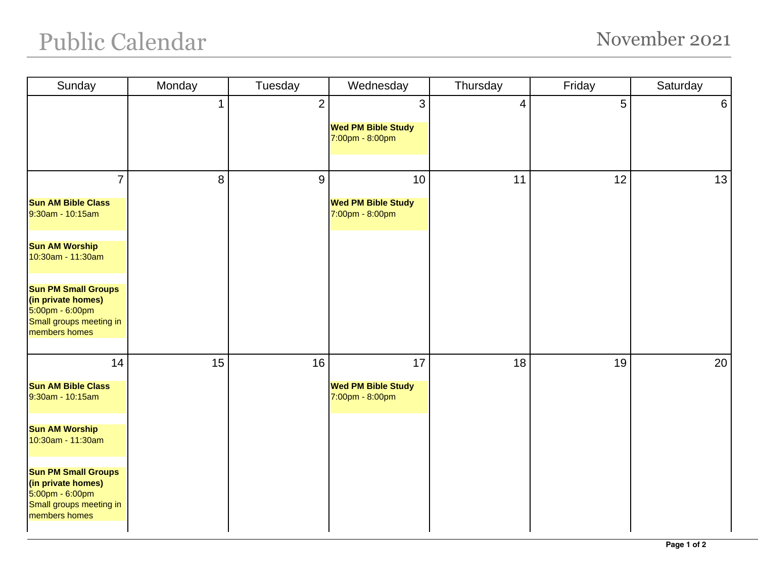## Public Calendar November 2021

| Sunday                                                                                                          | Monday      | Tuesday        | Wednesday                                                    | Thursday       | Friday | Saturday |
|-----------------------------------------------------------------------------------------------------------------|-------------|----------------|--------------------------------------------------------------|----------------|--------|----------|
|                                                                                                                 | $\mathbf 1$ | $\overline{2}$ | $\mathbf{3}$<br><b>Wed PM Bible Study</b><br>7:00pm - 8:00pm | $\overline{4}$ | 5      | $6 \mid$ |
|                                                                                                                 |             |                |                                                              |                |        |          |
| $\overline{7}$                                                                                                  | 8           | 9              | 10                                                           | 11             | 12     | 13       |
| <b>Sun AM Bible Class</b><br>9:30am - 10:15am                                                                   |             |                | <b>Wed PM Bible Study</b><br>7:00pm - 8:00pm                 |                |        |          |
| <b>Sun AM Worship</b><br>10:30am - 11:30am                                                                      |             |                |                                                              |                |        |          |
| <b>Sun PM Small Groups</b><br>(in private homes)<br>5:00pm - 6:00pm<br>Small groups meeting in<br>members homes |             |                |                                                              |                |        |          |
| 14                                                                                                              | 15          | 16             | 17                                                           | 18             | 19     | 20       |
| <b>Sun AM Bible Class</b><br>9:30am - 10:15am                                                                   |             |                | <b>Wed PM Bible Study</b><br>7:00pm - 8:00pm                 |                |        |          |
| <b>Sun AM Worship</b><br>10:30am - 11:30am                                                                      |             |                |                                                              |                |        |          |
| <b>Sun PM Small Groups</b><br>(in private homes)<br>5:00pm - 6:00pm<br>Small groups meeting in<br>members homes |             |                |                                                              |                |        |          |